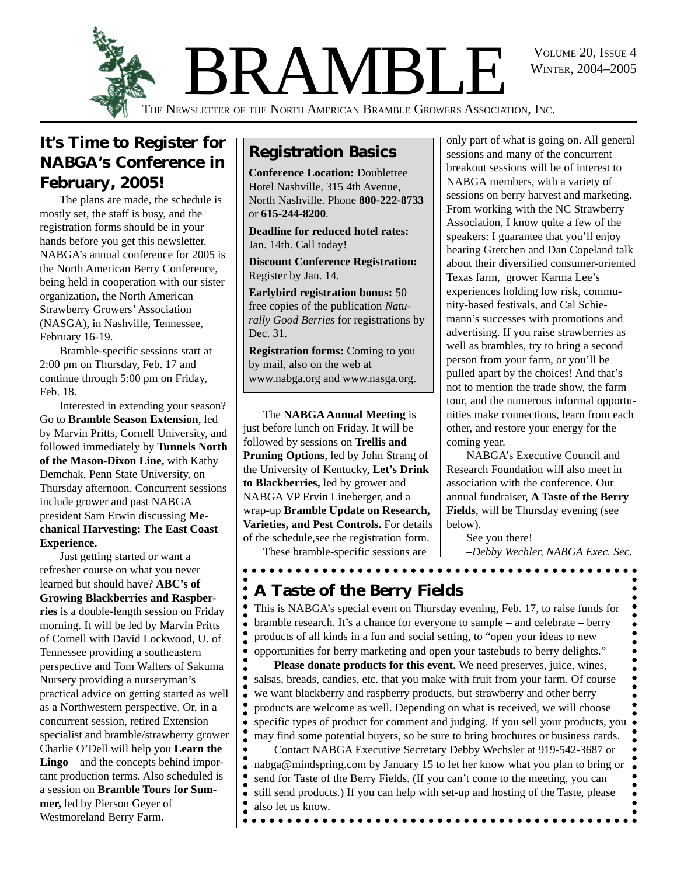WINTER, 2004–2005



# **It's Time to Register for NABGA's Conference in February, 2005!**

The plans are made, the schedule is mostly set, the staff is busy, and the registration forms should be in your hands before you get this newsletter. NABGA's annual conference for 2005 is the North American Berry Conference, being held in cooperation with our sister organization, the North American Strawberry Growers' Association (NASGA), in Nashville, Tennessee, February 16-19.

Bramble-specific sessions start at 2:00 pm on Thursday, Feb. 17 and continue through 5:00 pm on Friday, Feb. 18.

Interested in extending your season? Go to **Bramble Season Extension**, led by Marvin Pritts, Cornell University, and followed immediately by **Tunnels North of the Mason-Dixon Line,** with Kathy Demchak, Penn State University, on Thursday afternoon. Concurrent sessions include grower and past NABGA president Sam Erwin discussing **Mechanical Harvesting: The East Coast Experience.**

Just getting started or want a refresher course on what you never learned but should have? **ABC's of Growing Blackberries and Raspberries** is a double-length session on Friday morning. It will be led by Marvin Pritts of Cornell with David Lockwood, U. of Tennessee providing a southeastern perspective and Tom Walters of Sakuma Nursery providing a nurseryman's practical advice on getting started as well as a Northwestern perspective. Or, in a concurrent session, retired Extension specialist and bramble/strawberry grower Charlie O'Dell will help you **Learn the Lingo** – and the concepts behind important production terms. Also scheduled is a session on **Bramble Tours for Summer,** led by Pierson Geyer of Westmoreland Berry Farm.

# **Registration Basics**

**Conference Location:** Doubletree Hotel Nashville, 315 4th Avenue, North Nashville. Phone **800-222-8733** or **615-244-8200**.

**Deadline for reduced hotel rates:** Jan. 14th. Call today!

**Discount Conference Registration:** Register by Jan. 14.

**Earlybird registration bonus:** 50 free copies of the publication *Naturally Good Berries* for registrations by Dec. 31.

**Registration forms:** Coming to you by mail, also on the web at www.nabga.org and www.nasga.org.

The **NABGA Annual Meeting** is just before lunch on Friday. It will be followed by sessions on **Trellis and Pruning Options**, led by John Strang of the University of Kentucky, **Let's Drink to Blackberries,** led by grower and NABGA VP Ervin Lineberger, and a wrap-up **Bramble Update on Research, Varieties, and Pest Controls.** For details of the schedule,see the registration form.

These bramble-specific sessions are

 $\bullet$   $\bullet$ 

 $\bullet$ 

 $\bullet$ 

only part of what is going on. All general sessions and many of the concurrent breakout sessions will be of interest to NABGA members, with a variety of sessions on berry harvest and marketing. From working with the NC Strawberry Association, I know quite a few of the speakers: I guarantee that you'll enjoy hearing Gretchen and Dan Copeland talk about their diversified consumer-oriented Texas farm, grower Karma Lee's experiences holding low risk, community-based festivals, and Cal Schiemann's successes with promotions and advertising. If you raise strawberries as well as brambles, try to bring a second person from your farm, or you'll be pulled apart by the choices! And that's not to mention the trade show, the farm tour, and the numerous informal opportunities make connections, learn from each other, and restore your energy for the coming year.

NABGA's Executive Council and Research Foundation will also meet in association with the conference. Our annual fundraiser, **A Taste of the Berry Fields**, will be Thursday evening (see below).

See you there! *–Debby Wechler, NABGA Exec. Sec.*

# **A Taste of the Berry Fields**

This is NABGA's special event on Thursday evening, Feb. 17, to raise funds for bramble research. It's a chance for everyone to sample – and celebrate – berry  $\bullet$ products of all kinds in a fun and social setting, to "open your ideas to new opportunities for berry marketing and open your tastebuds to berry delights."

**Please donate products for this event.** We need preserves, juice, wines, salsas, breads, candies, etc. that you make with fruit from your farm. Of course we want blackberry and raspberry products, but strawberry and other berry products are welcome as well. Depending on what is received, we will choose specific types of product for comment and judging. If you sell your products, you  $\bullet$ may find some potential buyers, so be sure to bring brochures or business cards.

Contact NABGA Executive Secretary Debby Wechsler at 919-542-3687 or nabga@mindspring.com by January 15 to let her know what you plan to bring or send for Taste of the Berry Fields. (If you can't come to the meeting, you can still send products.) If you can help with set-up and hosting of the Taste, please also let us know.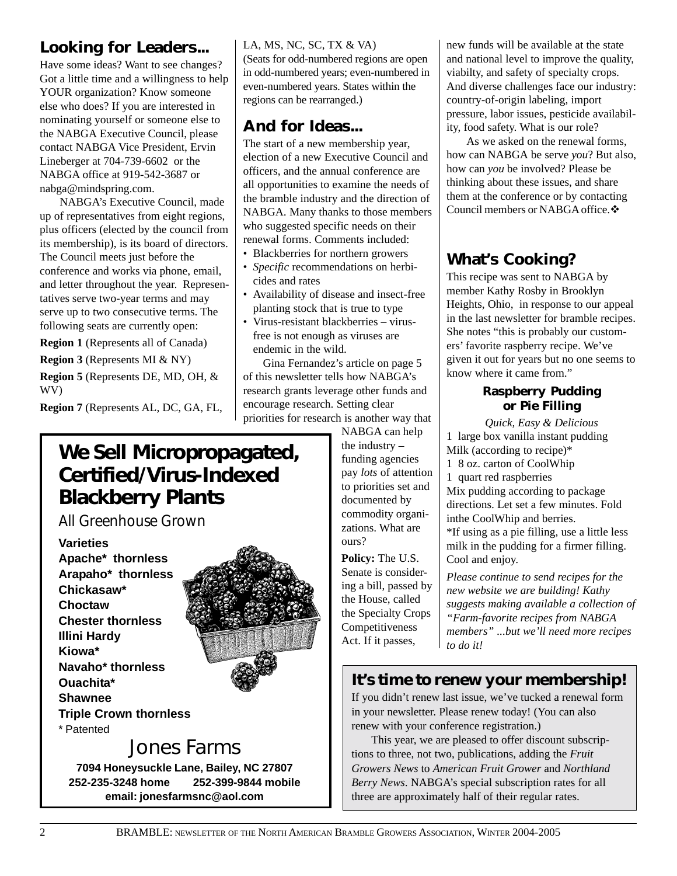# **Looking for Leaders...**

Have some ideas? Want to see changes? Got a little time and a willingness to help YOUR organization? Know someone else who does? If you are interested in nominating yourself or someone else to the NABGA Executive Council, please contact NABGA Vice President, Ervin Lineberger at 704-739-6602 or the NABGA office at 919-542-3687 or nabga@mindspring.com.

NABGA's Executive Council, made up of representatives from eight regions, plus officers (elected by the council from its membership), is its board of directors. The Council meets just before the conference and works via phone, email, and letter throughout the year. Representatives serve two-year terms and may serve up to two consecutive terms. The following seats are currently open:

**Region 1** (Represents all of Canada)

**Region 3** (Represents MI & NY)

**Region 5** (Represents DE, MD, OH, & WV)

**Region 7** (Represents AL, DC, GA, FL,

# **We Sell Micropropagated, Certified/Virus-Indexed Blackberry Plants**

*All Greenhouse Grown*

**Varieties Apache\* thornless Arapaho\* thornless Chickasaw\* Choctaw Chester thornless Illini Hardy Kiowa\* Navaho\* thornless Ouachita\* Shawnee Triple Crown thornless** \* Patented



# Jones Farms

**7094 Honeysuckle Lane, Bailey, NC 27807 252-235-3248 home 252-399-9844 mobile email: jonesfarmsnc@aol.com**

## LA, MS, NC, SC, TX & VA)

(Seats for odd-numbered regions are open in odd-numbered years; even-numbered in even-numbered years. States within the regions can be rearranged.)

# **And for Ideas...**

The start of a new membership year, election of a new Executive Council and officers, and the annual conference are all opportunities to examine the needs of the bramble industry and the direction of NABGA. Many thanks to those members who suggested specific needs on their renewal forms. Comments included:

- Blackberries for northern growers
- *Specific* recommendations on herbicides and rates
- Availability of disease and insect-free planting stock that is true to type
- Virus-resistant blackberries virusfree is not enough as viruses are endemic in the wild.

Gina Fernandez's article on page 5 of this newsletter tells how NABGA's research grants leverage other funds and encourage research. Setting clear priorities for research is another way that

NABGA can help the industry – funding agencies pay *lots* of attention to priorities set and documented by commodity organizations. What are ours?

**Policy:** The U.S. Senate is considering a bill, passed by the House, called the Specialty Crops Competitiveness Act. If it passes,

new funds will be available at the state and national level to improve the quality, viabilty, and safety of specialty crops. And diverse challenges face our industry: country-of-origin labeling, import pressure, labor issues, pesticide availability, food safety. What is our role?

As we asked on the renewal forms, how can NABGA be serve *you*? But also, how can *you* be involved? Please be thinking about these issues, and share them at the conference or by contacting Council members or NABGA office.  $\clubsuit$ 

# **What's Cooking?**

This recipe was sent to NABGA by member Kathy Rosby in Brooklyn Heights, Ohio, in response to our appeal in the last newsletter for bramble recipes. She notes "this is probably our customers' favorite raspberry recipe. We've given it out for years but no one seems to know where it came from."

## **Raspberry Pudding or Pie Filling**

*Quick, Easy & Delicious* 1 large box vanilla instant pudding Milk (according to recipe)\* 1 8 oz. carton of CoolWhip 1 quart red raspberries Mix pudding according to package directions. Let set a few minutes. Fold inthe CoolWhip and berries. \*If using as a pie filling, use a little less milk in the pudding for a firmer filling. Cool and enjoy.

*Please continue to send recipes for the new website we are building! Kathy suggests making available a collection of "Farm-favorite recipes from NABGA members" ...but we'll need more recipes to do it!*

# **It's time to renew your membership!**

If you didn't renew last issue, we've tucked a renewal form in your newsletter. Please renew today! (You can also renew with your conference registration.)

This year, we are pleased to offer discount subscriptions to three, not two, publications, adding the *Fruit Growers News* to *American Fruit Grower* and *Northland Berry News*. NABGA's special subscription rates for all three are approximately half of their regular rates.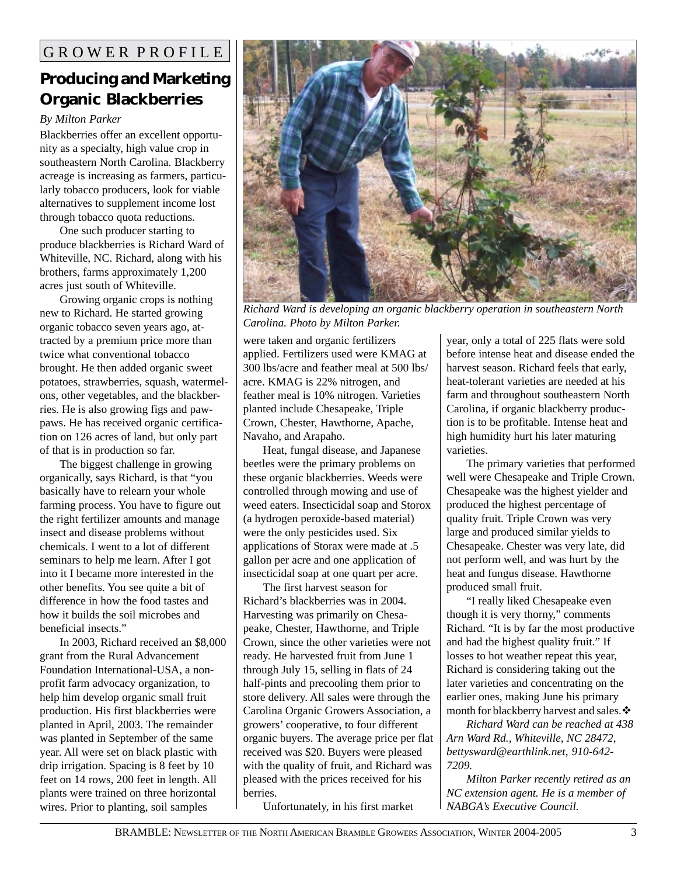# **Producing and Marketing Organic Blackberries**

## *By Milton Parker*

Blackberries offer an excellent opportunity as a specialty, high value crop in southeastern North Carolina. Blackberry acreage is increasing as farmers, particularly tobacco producers, look for viable alternatives to supplement income lost through tobacco quota reductions.

One such producer starting to produce blackberries is Richard Ward of Whiteville, NC. Richard, along with his brothers, farms approximately 1,200 acres just south of Whiteville.

Growing organic crops is nothing new to Richard. He started growing organic tobacco seven years ago, attracted by a premium price more than twice what conventional tobacco brought. He then added organic sweet potatoes, strawberries, squash, watermelons, other vegetables, and the blackberries. He is also growing figs and pawpaws. He has received organic certification on 126 acres of land, but only part of that is in production so far.

The biggest challenge in growing organically, says Richard, is that "you basically have to relearn your whole farming process. You have to figure out the right fertilizer amounts and manage insect and disease problems without chemicals. I went to a lot of different seminars to help me learn. After I got into it I became more interested in the other benefits. You see quite a bit of difference in how the food tastes and how it builds the soil microbes and beneficial insects."

In 2003, Richard received an \$8,000 grant from the Rural Advancement Foundation International-USA, a nonprofit farm advocacy organization, to help him develop organic small fruit production. His first blackberries were planted in April, 2003. The remainder was planted in September of the same year. All were set on black plastic with drip irrigation. Spacing is 8 feet by 10 feet on 14 rows, 200 feet in length. All plants were trained on three horizontal wires. Prior to planting, soil samples



*Richard Ward is developing an organic blackberry operation in southeastern North Carolina. Photo by Milton Parker.*

were taken and organic fertilizers applied. Fertilizers used were KMAG at 300 lbs/acre and feather meal at 500 lbs/ acre. KMAG is 22% nitrogen, and feather meal is 10% nitrogen. Varieties planted include Chesapeake, Triple Crown, Chester, Hawthorne, Apache, Navaho, and Arapaho.

Heat, fungal disease, and Japanese beetles were the primary problems on these organic blackberries. Weeds were controlled through mowing and use of weed eaters. Insecticidal soap and Storox (a hydrogen peroxide-based material) were the only pesticides used. Six applications of Storax were made at .5 gallon per acre and one application of insecticidal soap at one quart per acre.

The first harvest season for Richard's blackberries was in 2004. Harvesting was primarily on Chesapeake, Chester, Hawthorne, and Triple Crown, since the other varieties were not ready. He harvested fruit from June 1 through July 15, selling in flats of 24 half-pints and precooling them prior to store delivery. All sales were through the Carolina Organic Growers Association, a growers' cooperative, to four different organic buyers. The average price per flat received was \$20. Buyers were pleased with the quality of fruit, and Richard was pleased with the prices received for his berries.

Unfortunately, in his first market

year, only a total of 225 flats were sold before intense heat and disease ended the harvest season. Richard feels that early, heat-tolerant varieties are needed at his farm and throughout southeastern North Carolina, if organic blackberry production is to be profitable. Intense heat and high humidity hurt his later maturing varieties.

The primary varieties that performed well were Chesapeake and Triple Crown. Chesapeake was the highest yielder and produced the highest percentage of quality fruit. Triple Crown was very large and produced similar yields to Chesapeake. Chester was very late, did not perform well, and was hurt by the heat and fungus disease. Hawthorne produced small fruit.

"I really liked Chesapeake even though it is very thorny," comments Richard. "It is by far the most productive and had the highest quality fruit." If losses to hot weather repeat this year, Richard is considering taking out the later varieties and concentrating on the earlier ones, making June his primary month for blackberry harvest and sales. $\div$ 

*Richard Ward can be reached at 438 Arn Ward Rd., Whiteville, NC 28472, bettysward@earthlink.net, 910-642- 7209.*

*Milton Parker recently retired as an NC extension agent. He is a member of NABGA's Executive Council.*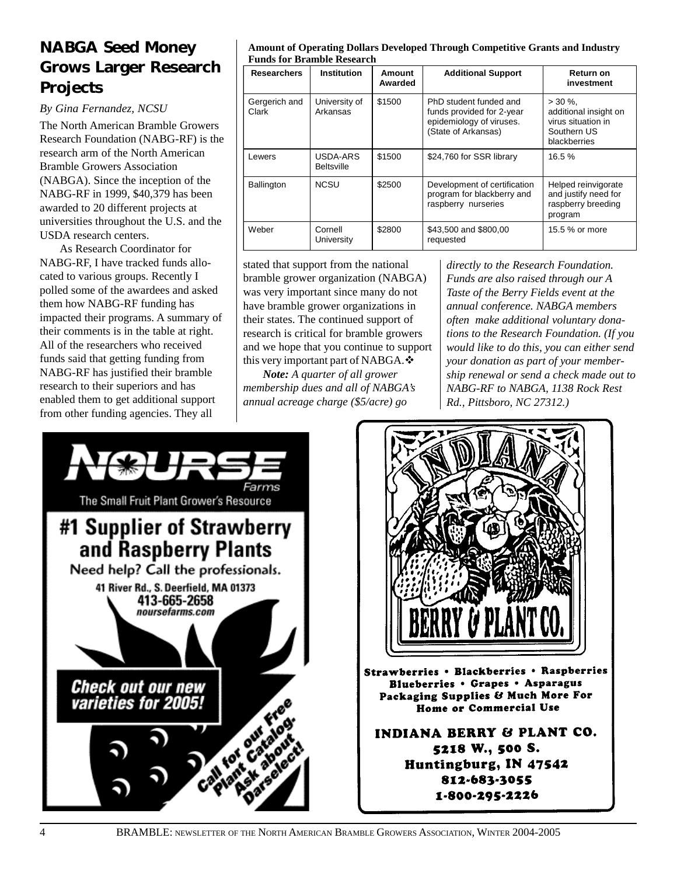# **NABGA Seed Money Grows Larger Research Projects**

*By Gina Fernandez, NCSU*

The North American Bramble Growers Research Foundation (NABG-RF) is the research arm of the North American Bramble Growers Association (NABGA). Since the inception of the NABG-RF in 1999, \$40,379 has been awarded to 20 different projects at universities throughout the U.S. and the USDA research centers.

As Research Coordinator for NABG-RF, I have tracked funds allocated to various groups. Recently I polled some of the awardees and asked them how NABG-RF funding has impacted their programs. A summary of their comments is in the table at right. All of the researchers who received funds said that getting funding from NABG-RF has justified their bramble research to their superiors and has enabled them to get additional support from other funding agencies. They all

#### **Amount of Operating Dollars Developed Through Competitive Grants and Industry Funds for Bramble Research**

| <b>Researchers</b>     | <b>Institution</b>            | Amount<br>Awarded | <b>Additional Support</b>                                                                              | Return on<br>investment                                                                   |
|------------------------|-------------------------------|-------------------|--------------------------------------------------------------------------------------------------------|-------------------------------------------------------------------------------------------|
| Gergerich and<br>Clark | University of<br>Arkansas     | \$1500            | PhD student funded and<br>funds provided for 2-year<br>epidemiology of viruses.<br>(State of Arkansas) | $> 30 \%$ .<br>additional insight on<br>virus situation in<br>Southern US<br>blackberries |
| Lewers                 | USDA-ARS<br><b>Beltsville</b> | \$1500            | \$24,760 for SSR library                                                                               | 16.5%                                                                                     |
| <b>Ballington</b>      | <b>NCSU</b>                   | \$2500            | Development of certification<br>program for blackberry and<br>raspberry nurseries                      | Helped reinvigorate<br>and justify need for<br>raspberry breeding<br>program              |
| Weber                  | Cornell<br>University         | \$2800            | \$43,500 and \$800,00<br>requested                                                                     | 15.5 % or more                                                                            |

stated that support from the national bramble grower organization (NABGA) was very important since many do not have bramble grower organizations in their states. The continued support of research is critical for bramble growers and we hope that you continue to support this very important part of NABGA. $\div$ 

*Note: A quarter of all grower membership dues and all of NABGA's annual acreage charge (\$5/acre) go*

*directly to the Research Foundation. Funds are also raised through our A Taste of the Berry Fields event at the annual conference. NABGA members often make additional voluntary donations to the Research Foundation. (If you would like to do this, you can either send your donation as part of your membership renewal or send a check made out to NABG-RF to NABGA, 1138 Rock Rest Rd., Pittsboro, NC 27312.)*



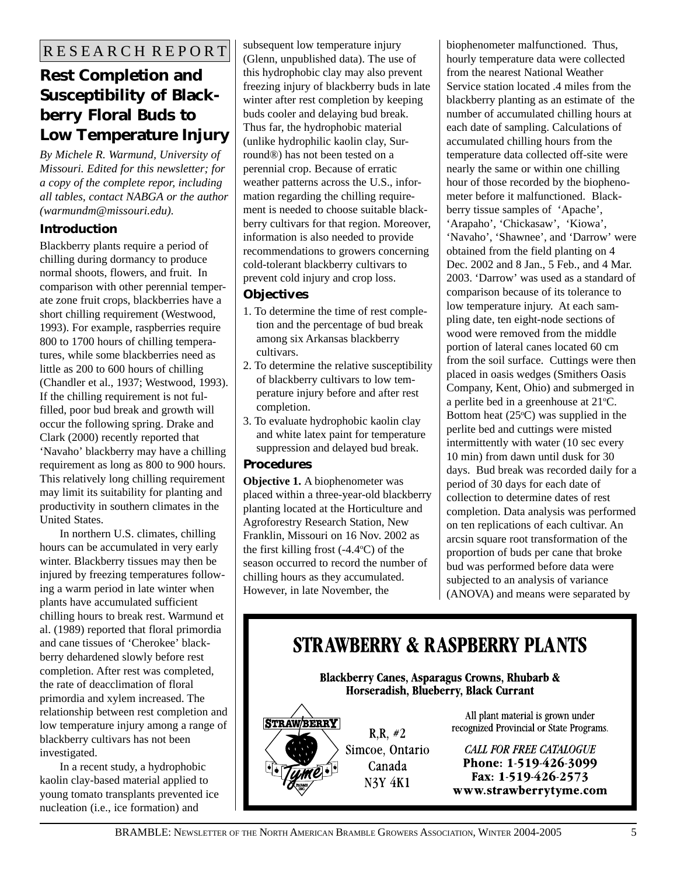# **Rest Completion and Susceptibility of Blackberry Floral Buds to Low Temperature Injury**

*By Michele R. Warmund, University of Missouri. Edited for this newsletter; for a copy of the complete repor, including all tables, contact NABGA or the author (warmundm@missouri.edu).*

## **Introduction**

Blackberry plants require a period of chilling during dormancy to produce normal shoots, flowers, and fruit. In comparison with other perennial temperate zone fruit crops, blackberries have a short chilling requirement (Westwood, 1993). For example, raspberries require 800 to 1700 hours of chilling temperatures, while some blackberries need as little as 200 to 600 hours of chilling (Chandler et al., 1937; Westwood, 1993). If the chilling requirement is not fulfilled, poor bud break and growth will occur the following spring. Drake and Clark (2000) recently reported that 'Navaho' blackberry may have a chilling requirement as long as 800 to 900 hours. This relatively long chilling requirement may limit its suitability for planting and productivity in southern climates in the United States.

In northern U.S. climates, chilling hours can be accumulated in very early winter. Blackberry tissues may then be injured by freezing temperatures following a warm period in late winter when plants have accumulated sufficient chilling hours to break rest. Warmund et al. (1989) reported that floral primordia and cane tissues of 'Cherokee' blackberry dehardened slowly before rest completion. After rest was completed, the rate of deacclimation of floral primordia and xylem increased. The relationship between rest completion and low temperature injury among a range of blackberry cultivars has not been investigated.

In a recent study, a hydrophobic kaolin clay-based material applied to young tomato transplants prevented ice nucleation (i.e., ice formation) and

subsequent low temperature injury (Glenn, unpublished data). The use of this hydrophobic clay may also prevent freezing injury of blackberry buds in late winter after rest completion by keeping buds cooler and delaying bud break. Thus far, the hydrophobic material (unlike hydrophilic kaolin clay, Surround®) has not been tested on a perennial crop. Because of erratic weather patterns across the U.S., information regarding the chilling requirement is needed to choose suitable blackberry cultivars for that region. Moreover, information is also needed to provide recommendations to growers concerning cold-tolerant blackberry cultivars to prevent cold injury and crop loss.

## **Objectives**

- 1. To determine the time of rest completion and the percentage of bud break among six Arkansas blackberry cultivars.
- 2. To determine the relative susceptibility of blackberry cultivars to low temperature injury before and after rest completion.
- 3. To evaluate hydrophobic kaolin clay and white latex paint for temperature suppression and delayed bud break.

## **Procedures**

**Objective 1.** A biophenometer was placed within a three-year-old blackberry planting located at the Horticulture and Agroforestry Research Station, New Franklin, Missouri on 16 Nov. 2002 as the first killing frost  $(-4.4^{\circ}C)$  of the season occurred to record the number of chilling hours as they accumulated. However, in late November, the

biophenometer malfunctioned. Thus, hourly temperature data were collected from the nearest National Weather Service station located .4 miles from the blackberry planting as an estimate of the number of accumulated chilling hours at each date of sampling. Calculations of accumulated chilling hours from the temperature data collected off-site were nearly the same or within one chilling hour of those recorded by the biophenometer before it malfunctioned. Blackberry tissue samples of 'Apache', 'Arapaho', 'Chickasaw', 'Kiowa', 'Navaho', 'Shawnee', and 'Darrow' were obtained from the field planting on 4 Dec. 2002 and 8 Jan., 5 Feb., and 4 Mar. 2003. 'Darrow' was used as a standard of comparison because of its tolerance to low temperature injury. At each sampling date, ten eight-node sections of wood were removed from the middle portion of lateral canes located 60 cm from the soil surface. Cuttings were then placed in oasis wedges (Smithers Oasis Company, Kent, Ohio) and submerged in a perlite bed in a greenhouse at  $21^{\circ}$ C. Bottom heat  $(25^{\circ}C)$  was supplied in the perlite bed and cuttings were misted intermittently with water (10 sec every 10 min) from dawn until dusk for 30 days. Bud break was recorded daily for a period of 30 days for each date of collection to determine dates of rest completion. Data analysis was performed on ten replications of each cultivar. An arcsin square root transformation of the proportion of buds per cane that broke bud was performed before data were subjected to an analysis of variance (ANOVA) and means were separated by

# **STRAWBERRY & RASPBERRY PLANTS**

**Blackberry Canes, Asparagus Crowns, Rhubarb &** Horseradish, Blueberry, Black Currant

STRAWBERRY

 $R.R. \#2$ Simcoe, Ontario Canada **N3Y 4K1** 

All plant material is grown under recognized Provincial or State Programs.

**CALL FOR FREE CATALOGUE** Phone: 1-519-426-3099 Fax: 1-519-426-2573 www.strawberrytyme.com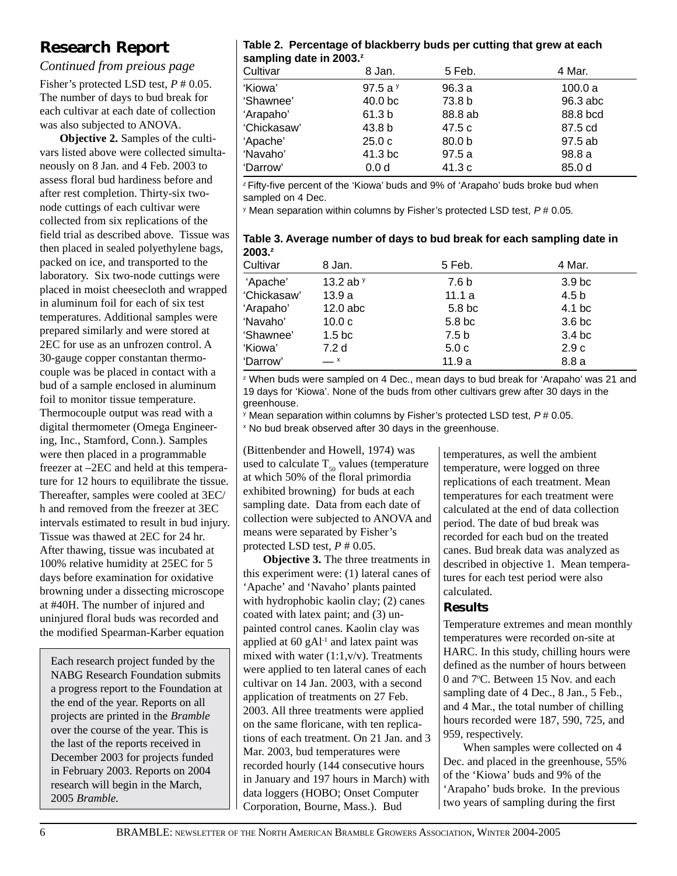# **Research Report**

*Continued from preious page*

Fisher's protected LSD test, *P* # 0.05. The number of days to bud break for each cultivar at each date of collection was also subjected to ANOVA.

**Objective 2.** Samples of the cultivars listed above were collected simultaneously on 8 Jan. and 4 Feb. 2003 to assess floral bud hardiness before and after rest completion. Thirty-six twonode cuttings of each cultivar were collected from six replications of the field trial as described above. Tissue was then placed in sealed polyethylene bags, packed on ice, and transported to the laboratory. Six two-node cuttings were placed in moist cheesecloth and wrapped in aluminum foil for each of six test temperatures. Additional samples were prepared similarly and were stored at 2EC for use as an unfrozen control. A 30-gauge copper constantan thermocouple was be placed in contact with a bud of a sample enclosed in aluminum foil to monitor tissue temperature. Thermocouple output was read with a digital thermometer (Omega Engineering, Inc., Stamford, Conn.). Samples were then placed in a programmable freezer at –2EC and held at this temperature for 12 hours to equilibrate the tissue. Thereafter, samples were cooled at 3EC/ h and removed from the freezer at 3EC intervals estimated to result in bud injury. Tissue was thawed at 2EC for 24 hr. After thawing, tissue was incubated at 100% relative humidity at 25EC for 5 days before examination for oxidative browning under a dissecting microscope at #40H. The number of injured and uninjured floral buds was recorded and the modified Spearman-Karber equation

Each research project funded by the NABG Research Foundation submits a progress report to the Foundation at the end of the year. Reports on all projects are printed in the *Bramble* over the course of the year. This is the last of the reports received in December 2003 for projects funded in February 2003. Reports on 2004 research will begin in the March, 2005 *Bramble.*

## **Table 2. Percentage of blackberry buds per cutting that grew at each sampling date in 2003.z**

| Cultivar    | 8 Jan.             | 5 Feb.            | 4 Mar.   |
|-------------|--------------------|-------------------|----------|
| 'Kiowa'     | 97.5 a $y$         | 96.3a             | 100.0a   |
| 'Shawnee'   | 40.0 <sub>bc</sub> | 73.8 b            | 96.3 abc |
| 'Arapaho'   | 61.3 b             | 88.8 ab           | 88.8 bcd |
| 'Chickasaw' | 43.8 <sub>b</sub>  | 47.5 c            | 87.5 cd  |
| 'Apache'    | 25.0c              | 80.0 <sub>b</sub> | 97.5 ab  |
| 'Navaho'    | 41.3 bc            | 97.5a             | 98.8a    |
| 'Darrow'    | 0.0 <sub>d</sub>   | 41.3 c            | 85.0 d   |

<sup>z</sup> Fifty-five percent of the 'Kiowa' buds and 9% of 'Arapaho' buds broke bud when sampled on 4 Dec.

y Mean separation within columns by Fisher's protected LSD test, *P* # 0.05.

**Table 3. Average number of days to bud break for each sampling date in 2003.z**

| Cultivar    | 8 Jan.             | 5 Feb.           | 4 Mar.            |
|-------------|--------------------|------------------|-------------------|
| 'Apache'    | 13.2 ab $y$        | 7.6 b            | 3.9 <sub>bc</sub> |
| 'Chickasaw' | 13.9a              | 11.1 $a$         | 4.5 b             |
| 'Arapaho'   | $12.0$ abc         | 5.8 bc           | 4.1 bc            |
| 'Navaho'    | 10.0 <sub>c</sub>  | 5.8 bc           | 3.6 <sub>bc</sub> |
| 'Shawnee'   | 1.5 <sub>b</sub> c | 7.5 <sub>b</sub> | 3.4 <sub>bc</sub> |
| 'Kiowa'     | 7.2 d              | 5.0c             | 2.9c              |
| 'Darrow'    | $ x$               | 11.9a            | 8.8a              |

z When buds were sampled on 4 Dec., mean days to bud break for 'Arapaho' was 21 and 19 days for 'Kiowa'. None of the buds from other cultivars grew after 30 days in the greenhouse.

y Mean separation within columns by Fisher's protected LSD test, *P* # 0.05.

x No bud break observed after 30 days in the greenhouse.

(Bittenbender and Howell, 1974) was used to calculate  $T_{50}$  values (temperature at which 50% of the floral primordia exhibited browning) for buds at each sampling date. Data from each date of collection were subjected to ANOVA and means were separated by Fisher's protected LSD test, *P* # 0.05.

**Objective 3.** The three treatments in this experiment were: (1) lateral canes of 'Apache' and 'Navaho' plants painted with hydrophobic kaolin clay; (2) canes coated with latex paint; and (3) unpainted control canes. Kaolin clay was applied at  $60 \text{ gAl}^{-1}$  and latex paint was mixed with water  $(1:1,v/v)$ . Treatments were applied to ten lateral canes of each cultivar on 14 Jan. 2003, with a second application of treatments on 27 Feb. 2003. All three treatments were applied on the same floricane, with ten replications of each treatment. On 21 Jan. and 3 Mar. 2003, bud temperatures were recorded hourly (144 consecutive hours in January and 197 hours in March) with data loggers (HOBO; Onset Computer Corporation, Bourne, Mass.). Bud

temperatures, as well the ambient temperature, were logged on three replications of each treatment. Mean temperatures for each treatment were calculated at the end of data collection period. The date of bud break was recorded for each bud on the treated canes. Bud break data was analyzed as described in objective 1. Mean temperatures for each test period were also calculated.

## **Results**

Temperature extremes and mean monthly temperatures were recorded on-site at HARC. In this study, chilling hours were defined as the number of hours between 0 and 7°C. Between 15 Nov. and each sampling date of 4 Dec., 8 Jan., 5 Feb., and 4 Mar., the total number of chilling hours recorded were 187, 590, 725, and 959, respectively.

When samples were collected on 4 Dec. and placed in the greenhouse, 55% of the 'Kiowa' buds and 9% of the 'Arapaho' buds broke. In the previous two years of sampling during the first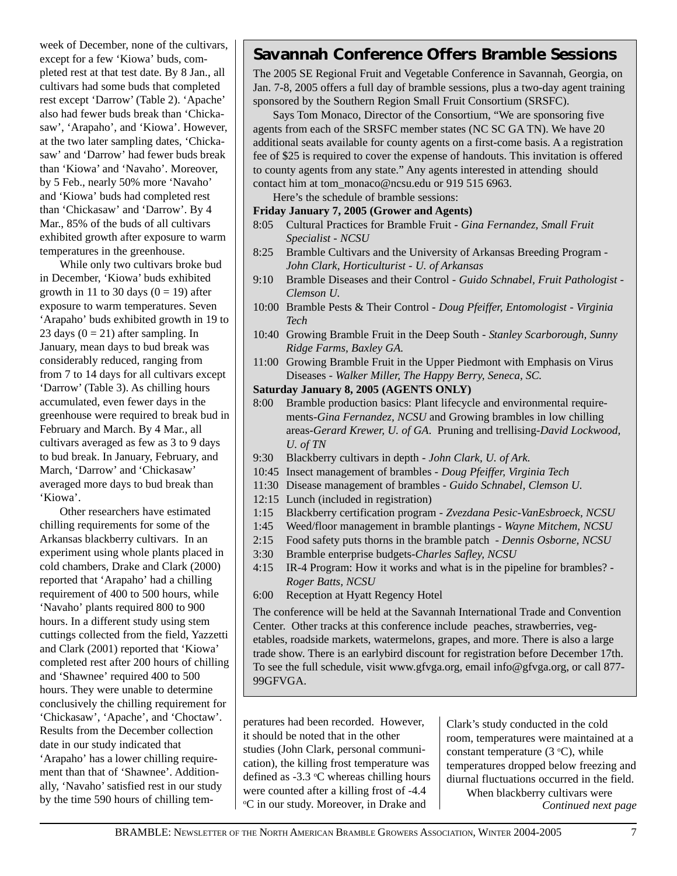week of December, none of the cultivars, except for a few 'Kiowa' buds, completed rest at that test date. By 8 Jan., all cultivars had some buds that completed rest except 'Darrow' (Table 2). 'Apache' also had fewer buds break than 'Chickasaw', 'Arapaho', and 'Kiowa'. However, at the two later sampling dates, 'Chickasaw' and 'Darrow' had fewer buds break than 'Kiowa' and 'Navaho'. Moreover, by 5 Feb., nearly 50% more 'Navaho' and 'Kiowa' buds had completed rest than 'Chickasaw' and 'Darrow'. By 4 Mar., 85% of the buds of all cultivars exhibited growth after exposure to warm temperatures in the greenhouse.

While only two cultivars broke bud in December, 'Kiowa' buds exhibited growth in 11 to 30 days  $(0 = 19)$  after exposure to warm temperatures. Seven 'Arapaho' buds exhibited growth in 19 to 23 days  $(0 = 21)$  after sampling. In January, mean days to bud break was considerably reduced, ranging from from 7 to 14 days for all cultivars except 'Darrow' (Table 3). As chilling hours accumulated, even fewer days in the greenhouse were required to break bud in February and March. By 4 Mar., all cultivars averaged as few as 3 to 9 days to bud break. In January, February, and March, 'Darrow' and 'Chickasaw' averaged more days to bud break than 'Kiowa'.

Other researchers have estimated chilling requirements for some of the Arkansas blackberry cultivars. In an experiment using whole plants placed in cold chambers, Drake and Clark (2000) reported that 'Arapaho' had a chilling requirement of 400 to 500 hours, while 'Navaho' plants required 800 to 900 hours. In a different study using stem cuttings collected from the field, Yazzetti and Clark (2001) reported that 'Kiowa' completed rest after 200 hours of chilling and 'Shawnee' required 400 to 500 hours. They were unable to determine conclusively the chilling requirement for 'Chickasaw', 'Apache', and 'Choctaw'. Results from the December collection date in our study indicated that 'Arapaho' has a lower chilling requirement than that of 'Shawnee'. Additionally, 'Navaho' satisfied rest in our study by the time 590 hours of chilling tem-

## **Savannah Conference Offers Bramble Sessions**

The 2005 SE Regional Fruit and Vegetable Conference in Savannah, Georgia, on Jan. 7-8, 2005 offers a full day of bramble sessions, plus a two-day agent training sponsored by the Southern Region Small Fruit Consortium (SRSFC).

Says Tom Monaco, Director of the Consortium, "We are sponsoring five agents from each of the SRSFC member states (NC SC GA TN). We have 20 additional seats available for county agents on a first-come basis. A a registration fee of \$25 is required to cover the expense of handouts. This invitation is offered to county agents from any state." Any agents interested in attending should contact him at tom\_monaco@ncsu.edu or 919 515 6963.

Here's the schedule of bramble sessions:

#### **Friday January 7, 2005 (Grower and Agents)**

- 8:05 Cultural Practices for Bramble Fruit  *Gina Fernandez, Small Fruit Specialist - NCSU*
- 8:25 Bramble Cultivars and the University of Arkansas Breeding Program *- John Clark, Horticulturist - U. of Arkansas*
- 9:10 Bramble Diseases and their Control *Guido Schnabel, Fruit Pathologist - Clemson U.*
- 10:00 Bramble Pests & Their Control  *Doug Pfeiffer, Entomologist Virginia Tech*
- 10:40 Growing Bramble Fruit in the Deep South *Stanley Scarborough, Sunny Ridge Farms, Baxley GA.*
- 11:00 Growing Bramble Fruit in the Upper Piedmont with Emphasis on Virus Diseases *- Walker Miller, The Happy Berry, Seneca, SC.*

## **Saturday January 8, 2005 (AGENTS ONLY)**

- 8:00 Bramble production basics: Plant lifecycle and environmental requirements*-Gina Fernandez, NCSU* and Growing brambles in low chilling areas*-Gerard Krewer, U. of GA*. Pruning and trellising*-David Lockwood, U. of TN*
- 9:30 Blackberry cultivars in depth *John Clark, U. of Ark.*
- 10:45 Insect management of brambles *Doug Pfeiffer, Virginia Tech*
- 11:30 Disease management of brambles  *Guido Schnabel, Clemson U.*
- 12:15 Lunch (included in registration)
- 1:15 Blackberry certification program  *Zvezdana Pesic-VanEsbroeck, NCSU*
- 1:45 Weed/floor management in bramble plantings *Wayne Mitchem, NCSU*
- 2:15 Food safety puts thorns in the bramble patch  *Dennis Osborne, NCSU*
- 3:30 Bramble enterprise budgets*-Charles Safley, NCSU*
- 4:15 IR-4 Program: How it works and what is in the pipeline for brambles? *- Roger Batts, NCSU*
- 6:00 Reception at Hyatt Regency Hotel

The conference will be held at the Savannah International Trade and Convention Center. Other tracks at this conference include peaches, strawberries, vegetables, roadside markets, watermelons, grapes, and more. There is also a large trade show. There is an earlybird discount for registration before December 17th. To see the full schedule, visit www.gfvga.org, email info@gfvga.org, or call 877- 99GFVGA.

peratures had been recorded. However, it should be noted that in the other studies (John Clark, personal communication), the killing frost temperature was defined as  $-3.3$  °C whereas chilling hours were counted after a killing frost of -4.4 <sup>o</sup>C in our study. Moreover, in Drake and

Clark's study conducted in the cold room, temperatures were maintained at a constant temperature  $(3 \text{ }^{\circ}C)$ , while temperatures dropped below freezing and diurnal fluctuations occurred in the field. When blackberry cultivars were

*Continued next page*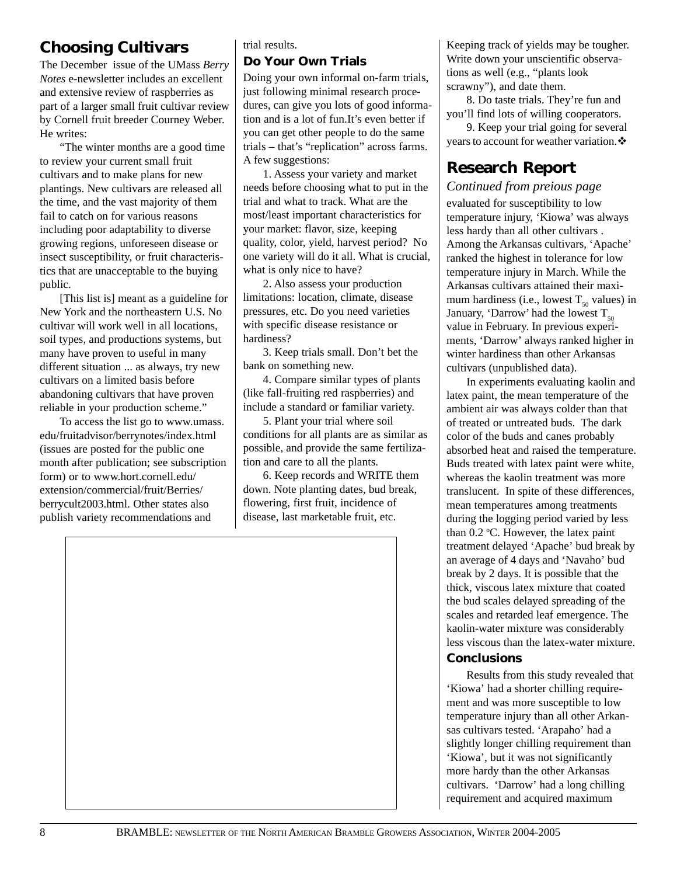# **Choosing Cultivars**

The December issue of the UMass *Berry Notes* e-newsletter includes an excellent and extensive review of raspberries as part of a larger small fruit cultivar review by Cornell fruit breeder Courney Weber. He writes:

"The winter months are a good time to review your current small fruit cultivars and to make plans for new plantings. New cultivars are released all the time, and the vast majority of them fail to catch on for various reasons including poor adaptability to diverse growing regions, unforeseen disease or insect susceptibility, or fruit characteristics that are unacceptable to the buying public.

[This list is] meant as a guideline for New York and the northeastern U.S. No cultivar will work well in all locations, soil types, and productions systems, but many have proven to useful in many different situation ... as always, try new cultivars on a limited basis before abandoning cultivars that have proven reliable in your production scheme."

To access the list go to www.umass. edu/fruitadvisor/berrynotes/index.html (issues are posted for the public one month after publication; see subscription form) or to www.hort.cornell.edu/ extension/commercial/fruit/Berries/ berrycult2003.html. Other states also publish variety recommendations and

## trial results.

## **Do Your Own Trials**

Doing your own informal on-farm trials, just following minimal research procedures, can give you lots of good information and is a lot of fun.It's even better if you can get other people to do the same trials – that's "replication" across farms. A few suggestions:

1. Assess your variety and market needs before choosing what to put in the trial and what to track. What are the most/least important characteristics for your market: flavor, size, keeping quality, color, yield, harvest period? No one variety will do it all. What is crucial, what is only nice to have?

2. Also assess your production limitations: location, climate, disease pressures, etc. Do you need varieties with specific disease resistance or hardiness?

3. Keep trials small. Don't bet the bank on something new.

4. Compare similar types of plants (like fall-fruiting red raspberries) and include a standard or familiar variety.

5. Plant your trial where soil conditions for all plants are as similar as possible, and provide the same fertilization and care to all the plants.

6. Keep records and WRITE them down. Note planting dates, bud break, flowering, first fruit, incidence of disease, last marketable fruit, etc.

Keeping track of yields may be tougher. Write down your unscientific observations as well (e.g., "plants look scrawny"), and date them.

8. Do taste trials. They're fun and you'll find lots of willing cooperators.

9. Keep your trial going for several years to account for weather variation. $\cdot$ 

# **Research Report**

*Continued from preious page*

evaluated for susceptibility to low temperature injury, 'Kiowa' was always less hardy than all other cultivars . Among the Arkansas cultivars, 'Apache' ranked the highest in tolerance for low temperature injury in March. While the Arkansas cultivars attained their maximum hardiness (i.e., lowest  $T_{50}$  values) in January, 'Darrow' had the lowest  $T_{50}$ value in February. In previous experiments, 'Darrow' always ranked higher in winter hardiness than other Arkansas cultivars (unpublished data).

In experiments evaluating kaolin and latex paint, the mean temperature of the ambient air was always colder than that of treated or untreated buds. The dark color of the buds and canes probably absorbed heat and raised the temperature. Buds treated with latex paint were white, whereas the kaolin treatment was more translucent. In spite of these differences, mean temperatures among treatments during the logging period varied by less than  $0.2$  °C. However, the latex paint treatment delayed 'Apache' bud break by an average of 4 days and 'Navaho' bud break by 2 days. It is possible that the thick, viscous latex mixture that coated the bud scales delayed spreading of the scales and retarded leaf emergence. The kaolin-water mixture was considerably less viscous than the latex-water mixture.

## **Conclusions**

Results from this study revealed that 'Kiowa' had a shorter chilling requirement and was more susceptible to low temperature injury than all other Arkansas cultivars tested. 'Arapaho' had a slightly longer chilling requirement than 'Kiowa', but it was not significantly more hardy than the other Arkansas cultivars. 'Darrow' had a long chilling requirement and acquired maximum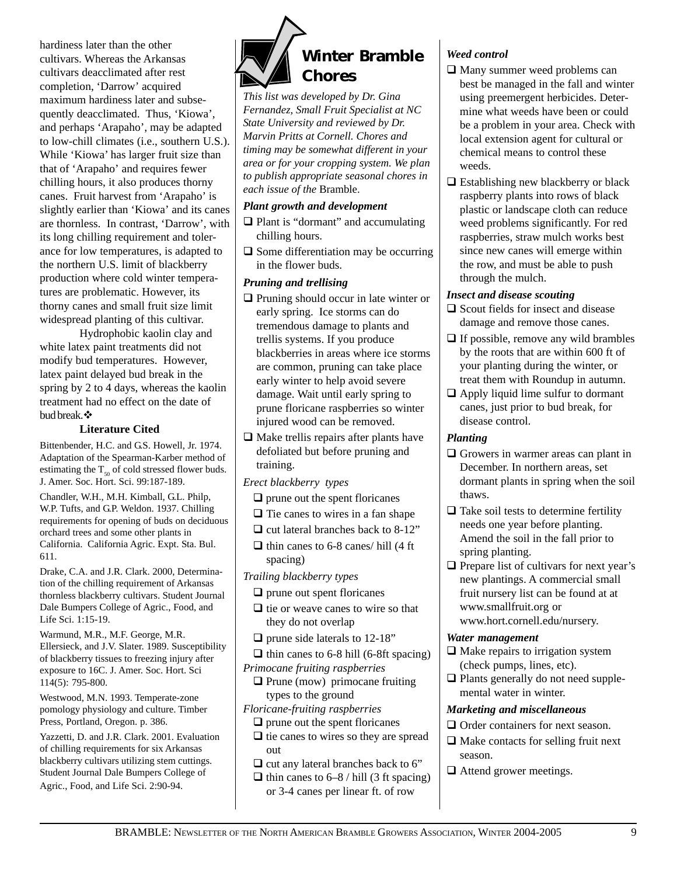hardiness later than the other cultivars. Whereas the Arkansas cultivars deacclimated after rest completion, 'Darrow' acquired maximum hardiness later and subsequently deacclimated. Thus, 'Kiowa', and perhaps 'Arapaho', may be adapted to low-chill climates (i.e., southern U.S.). While 'Kiowa' has larger fruit size than that of 'Arapaho' and requires fewer chilling hours, it also produces thorny canes. Fruit harvest from 'Arapaho' is slightly earlier than 'Kiowa' and its canes are thornless. In contrast, 'Darrow', with its long chilling requirement and tolerance for low temperatures, is adapted to the northern U.S. limit of blackberry production where cold winter temperatures are problematic. However, its thorny canes and small fruit size limit widespread planting of this cultivar.

Hydrophobic kaolin clay and white latex paint treatments did not modify bud temperatures. However, latex paint delayed bud break in the spring by 2 to 4 days, whereas the kaolin treatment had no effect on the date of bud break. $\clubsuit$ 

### **Literature Cited**

Bittenbender, H.C. and G.S. Howell, Jr. 1974. Adaptation of the Spearman-Karber method of estimating the  $T_{50}$  of cold stressed flower buds. J. Amer. Soc. Hort. Sci. 99:187-189.

Chandler, W.H., M.H. Kimball, G.L. Philp, W.P. Tufts, and G.P. Weldon. 1937. Chilling requirements for opening of buds on deciduous orchard trees and some other plants in California. California Agric. Expt. Sta. Bul. 611.

Drake, C.A. and J.R. Clark. 2000, Determination of the chilling requirement of Arkansas thornless blackberry cultivars. Student Journal Dale Bumpers College of Agric., Food, and Life Sci. 1:15-19.

Warmund, M.R., M.F. George, M.R. Ellersieck, and J.V. Slater. 1989. Susceptibility of blackberry tissues to freezing injury after exposure to 16C. J. Amer. Soc. Hort. Sci 114(5): 795-800.

Westwood, M.N. 1993. Temperate-zone pomology physiology and culture. Timber Press, Portland, Oregon. p. 386.

Yazzetti, D. and J.R. Clark. 2001. Evaluation of chilling requirements for six Arkansas blackberry cultivars utilizing stem cuttings. Student Journal Dale Bumpers College of Agric., Food, and Life Sci. 2:90-94.



*This list was developed by Dr. Gina Fernandez, Small Fruit Specialist at NC State University and reviewed by Dr. Marvin Pritts at Cornell. Chores and timing may be somewhat different in your area or for your cropping system. We plan to publish appropriate seasonal chores in each issue of the* Bramble.

## *Plant growth and development*

- $\Box$  Plant is "dormant" and accumulating chilling hours.
- $\Box$  Some differentiation may be occurring in the flower buds.

## *Pruning and trellising*

- $\Box$  Pruning should occur in late winter or early spring. Ice storms can do tremendous damage to plants and trellis systems. If you produce blackberries in areas where ice storms are common, pruning can take place early winter to help avoid severe damage. Wait until early spring to prune floricane raspberries so winter injured wood can be removed.
- $\Box$  Make trellis repairs after plants have defoliated but before pruning and training.
- *Erect blackberry types*
	- $\Box$  prune out the spent floricanes
	- $\Box$  Tie canes to wires in a fan shape
	- $\Box$  cut lateral branches back to 8-12"
- $\Box$  thin canes to 6-8 canes/ hill (4 ft) spacing)
- *Trailing blackberry types*
	- $\Box$  prune out spent floricanes
	- $\Box$  tie or weave canes to wire so that they do not overlap
	- $\Box$  prune side laterals to 12-18"
- $\Box$  thin canes to 6-8 hill (6-8ft spacing) *Primocane fruiting raspberries*
	- $\Box$  Prune (mow) primocane fruiting types to the ground
- *Floricane-fruiting raspberries*  $\Box$  prune out the spent floricanes
	- $\Box$  tie canes to wires so they are spread out
	- $\Box$  cut any lateral branches back to 6"
	- $\Box$  thin canes to 6–8 / hill (3 ft spacing) or 3-4 canes per linear ft. of row

## *Weed control*

- $\Box$  Many summer weed problems can best be managed in the fall and winter using preemergent herbicides. Determine what weeds have been or could be a problem in your area. Check with local extension agent for cultural or chemical means to control these weeds.
- $\Box$  Establishing new blackberry or black raspberry plants into rows of black plastic or landscape cloth can reduce weed problems significantly. For red raspberries, straw mulch works best since new canes will emerge within the row, and must be able to push through the mulch.

## *Insect and disease scouting*

- $\Box$  Scout fields for insect and disease damage and remove those canes.
- $\Box$  If possible, remove any wild brambles by the roots that are within 600 ft of your planting during the winter, or treat them with Roundup in autumn.
- $\Box$  Apply liquid lime sulfur to dormant canes, just prior to bud break, for disease control.

## *Planting*

- $\Box$  Growers in warmer areas can plant in December. In northern areas, set dormant plants in spring when the soil thaws.
- $\Box$  Take soil tests to determine fertility needs one year before planting. Amend the soil in the fall prior to spring planting.
- $\Box$  Prepare list of cultivars for next year's new plantings. A commercial small fruit nursery list can be found at at www.smallfruit.org or www.hort.cornell.edu/nursery.

### *Water management*

- $\Box$  Make repairs to irrigation system (check pumps, lines, etc).
- $\Box$  Plants generally do not need supplemental water in winter.

## *Marketing and miscellaneous*

- $\Box$  Order containers for next season.
- $\Box$  Make contacts for selling fruit next season.
- $\Box$  Attend grower meetings.